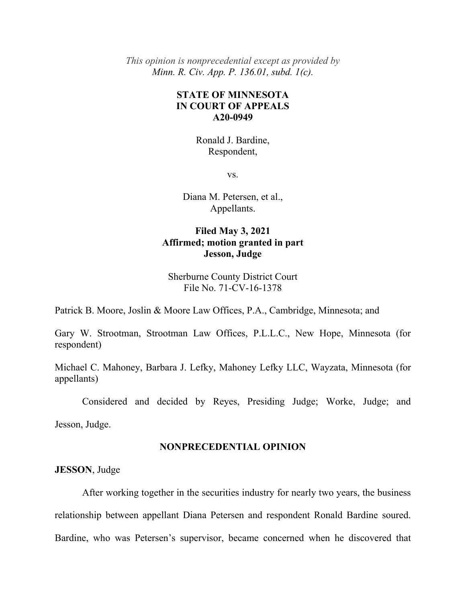*This opinion is nonprecedential except as provided by Minn. R. Civ. App. P. 136.01, subd. 1(c).* 

# **STATE OF MINNESOTA IN COURT OF APPEALS A20-0949**

Ronald J. Bardine, Respondent,

vs.

Diana M. Petersen, et al., Appellants.

# **Filed May 3, 2021 Affirmed; motion granted in part Jesson, Judge**

Sherburne County District Court File No. 71-CV-16-1378

Patrick B. Moore, Joslin & Moore Law Offices, P.A., Cambridge, Minnesota; and

Gary W. Strootman, Strootman Law Offices, P.L.L.C., New Hope, Minnesota (for respondent)

Michael C. Mahoney, Barbara J. Lefky, Mahoney Lefky LLC, Wayzata, Minnesota (for appellants)

Considered and decided by Reyes, Presiding Judge; Worke, Judge; and

Jesson, Judge.

#### **NONPRECEDENTIAL OPINION**

**JESSON**, Judge

 After working together in the securities industry for nearly two years, the business relationship between appellant Diana Petersen and respondent Ronald Bardine soured. Bardine, who was Petersen's supervisor, became concerned when he discovered that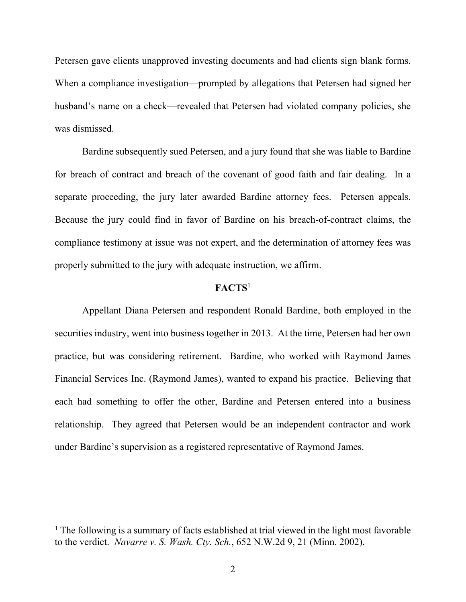Petersen gave clients unapproved investing documents and had clients sign blank forms. When a compliance investigation—prompted by allegations that Petersen had signed her husband's name on a check—revealed that Petersen had violated company policies, she was dismissed.

 Bardine subsequently sued Petersen, and a jury found that she was liable to Bardine for breach of contract and breach of the covenant of good faith and fair dealing. In a separate proceeding, the jury later awarded Bardine attorney fees. Petersen appeals. Because the jury could find in favor of Bardine on his breach-of-contract claims, the compliance testimony at issue was not expert, and the determination of attorney fees was properly submitted to the jury with adequate instruction, we affirm.

## **FACTS**<sup>1</sup>

 Appellant Diana Petersen and respondent Ronald Bardine, both employed in the securities industry, went into business together in 2013. At the time, Petersen had her own practice, but was considering retirement. Bardine, who worked with Raymond James Financial Services Inc. (Raymond James), wanted to expand his practice. Believing that each had something to offer the other, Bardine and Petersen entered into a business relationship. They agreed that Petersen would be an independent contractor and work under Bardine's supervision as a registered representative of Raymond James.

<sup>&</sup>lt;sup>1</sup> The following is a summary of facts established at trial viewed in the light most favorable to the verdict. *Navarre v. S. Wash. Cty. Sch.*, 652 N.W.2d 9, 21 (Minn. 2002).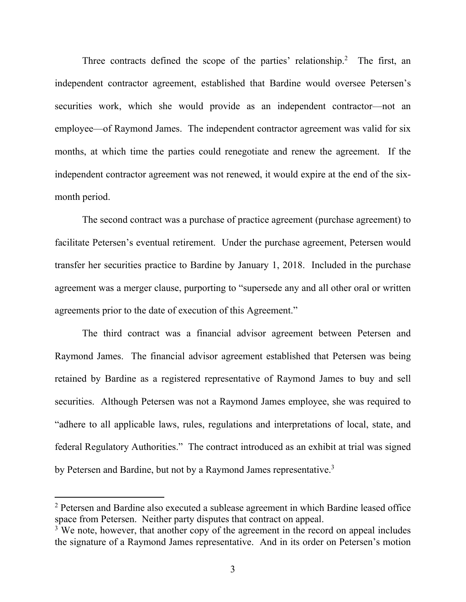Three contracts defined the scope of the parties' relationship.<sup>2</sup> The first, an independent contractor agreement, established that Bardine would oversee Petersen's securities work, which she would provide as an independent contractor—not an employee—of Raymond James. The independent contractor agreement was valid for six months, at which time the parties could renegotiate and renew the agreement. If the independent contractor agreement was not renewed, it would expire at the end of the sixmonth period.

 The second contract was a purchase of practice agreement (purchase agreement) to facilitate Petersen's eventual retirement. Under the purchase agreement, Petersen would transfer her securities practice to Bardine by January 1, 2018. Included in the purchase agreement was a merger clause, purporting to "supersede any and all other oral or written agreements prior to the date of execution of this Agreement."

 The third contract was a financial advisor agreement between Petersen and Raymond James. The financial advisor agreement established that Petersen was being retained by Bardine as a registered representative of Raymond James to buy and sell securities. Although Petersen was not a Raymond James employee, she was required to "adhere to all applicable laws, rules, regulations and interpretations of local, state, and federal Regulatory Authorities." The contract introduced as an exhibit at trial was signed by Petersen and Bardine, but not by a Raymond James representative.<sup>3</sup>

<sup>&</sup>lt;sup>2</sup> Petersen and Bardine also executed a sublease agreement in which Bardine leased office space from Petersen. Neither party disputes that contract on appeal.

<sup>&</sup>lt;sup>3</sup> We note, however, that another copy of the agreement in the record on appeal includes the signature of a Raymond James representative. And in its order on Petersen's motion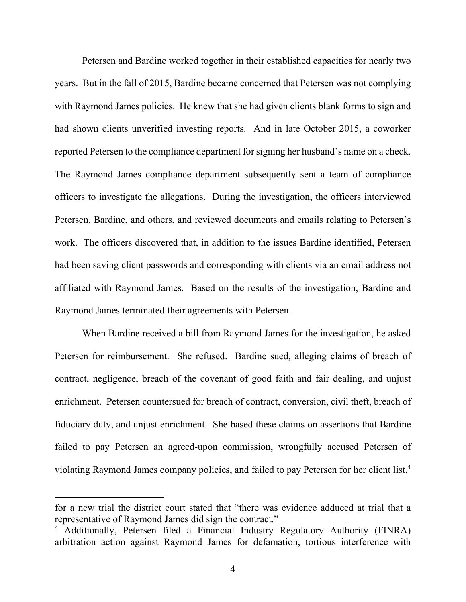Petersen and Bardine worked together in their established capacities for nearly two years. But in the fall of 2015, Bardine became concerned that Petersen was not complying with Raymond James policies. He knew that she had given clients blank forms to sign and had shown clients unverified investing reports. And in late October 2015, a coworker reported Petersen to the compliance department for signing her husband's name on a check. The Raymond James compliance department subsequently sent a team of compliance officers to investigate the allegations. During the investigation, the officers interviewed Petersen, Bardine, and others, and reviewed documents and emails relating to Petersen's work. The officers discovered that, in addition to the issues Bardine identified, Petersen had been saving client passwords and corresponding with clients via an email address not affiliated with Raymond James. Based on the results of the investigation, Bardine and Raymond James terminated their agreements with Petersen.

 When Bardine received a bill from Raymond James for the investigation, he asked Petersen for reimbursement. She refused. Bardine sued, alleging claims of breach of contract, negligence, breach of the covenant of good faith and fair dealing, and unjust enrichment. Petersen countersued for breach of contract, conversion, civil theft, breach of fiduciary duty, and unjust enrichment. She based these claims on assertions that Bardine failed to pay Petersen an agreed-upon commission, wrongfully accused Petersen of violating Raymond James company policies, and failed to pay Petersen for her client list.<sup>4</sup>

for a new trial the district court stated that "there was evidence adduced at trial that a representative of Raymond James did sign the contract."

<sup>&</sup>lt;sup>4</sup> Additionally, Petersen filed a Financial Industry Regulatory Authority (FINRA) arbitration action against Raymond James for defamation, tortious interference with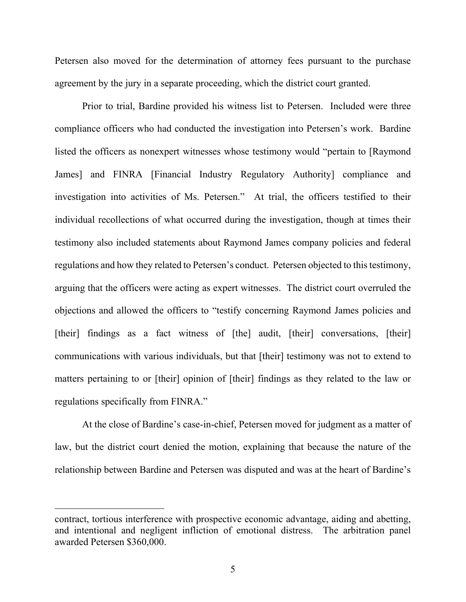Petersen also moved for the determination of attorney fees pursuant to the purchase agreement by the jury in a separate proceeding, which the district court granted.

 Prior to trial, Bardine provided his witness list to Petersen. Included were three compliance officers who had conducted the investigation into Petersen's work. Bardine listed the officers as nonexpert witnesses whose testimony would "pertain to [Raymond James] and FINRA [Financial Industry Regulatory Authority] compliance and investigation into activities of Ms. Petersen." At trial, the officers testified to their individual recollections of what occurred during the investigation, though at times their testimony also included statements about Raymond James company policies and federal regulations and how they related to Petersen's conduct. Petersen objected to this testimony, arguing that the officers were acting as expert witnesses. The district court overruled the objections and allowed the officers to "testify concerning Raymond James policies and [their] findings as a fact witness of [the] audit, [their] conversations, [their] communications with various individuals, but that [their] testimony was not to extend to matters pertaining to or [their] opinion of [their] findings as they related to the law or regulations specifically from FINRA."

 At the close of Bardine's case-in-chief, Petersen moved for judgment as a matter of law, but the district court denied the motion, explaining that because the nature of the relationship between Bardine and Petersen was disputed and was at the heart of Bardine's

contract, tortious interference with prospective economic advantage, aiding and abetting, and intentional and negligent infliction of emotional distress. The arbitration panel awarded Petersen \$360,000.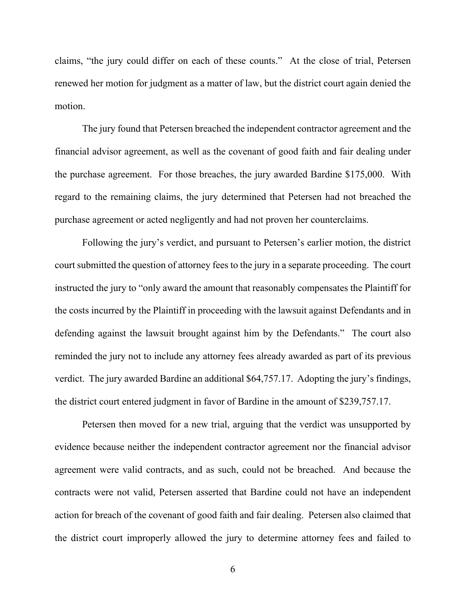claims, "the jury could differ on each of these counts." At the close of trial, Petersen renewed her motion for judgment as a matter of law, but the district court again denied the motion.

 The jury found that Petersen breached the independent contractor agreement and the financial advisor agreement, as well as the covenant of good faith and fair dealing under the purchase agreement. For those breaches, the jury awarded Bardine \$175,000. With regard to the remaining claims, the jury determined that Petersen had not breached the purchase agreement or acted negligently and had not proven her counterclaims.

 Following the jury's verdict, and pursuant to Petersen's earlier motion, the district court submitted the question of attorney fees to the jury in a separate proceeding. The court instructed the jury to "only award the amount that reasonably compensates the Plaintiff for the costs incurred by the Plaintiff in proceeding with the lawsuit against Defendants and in defending against the lawsuit brought against him by the Defendants." The court also reminded the jury not to include any attorney fees already awarded as part of its previous verdict. The jury awarded Bardine an additional \$64,757.17. Adopting the jury's findings, the district court entered judgment in favor of Bardine in the amount of \$239,757.17.

 Petersen then moved for a new trial, arguing that the verdict was unsupported by evidence because neither the independent contractor agreement nor the financial advisor agreement were valid contracts, and as such, could not be breached. And because the contracts were not valid, Petersen asserted that Bardine could not have an independent action for breach of the covenant of good faith and fair dealing. Petersen also claimed that the district court improperly allowed the jury to determine attorney fees and failed to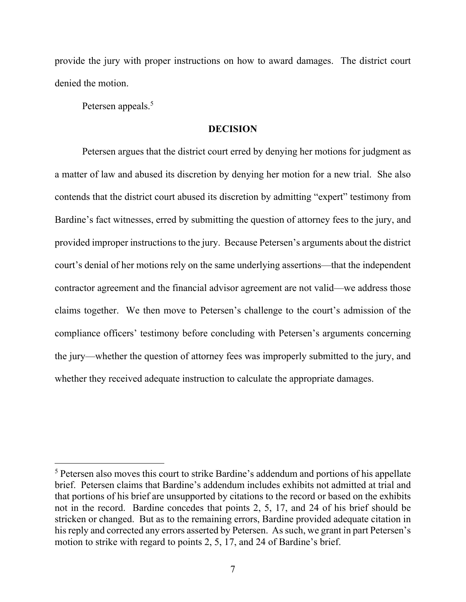provide the jury with proper instructions on how to award damages. The district court denied the motion.

Petersen appeals.<sup>5</sup>

 $\overline{a}$ 

#### **DECISION**

 Petersen argues that the district court erred by denying her motions for judgment as a matter of law and abused its discretion by denying her motion for a new trial. She also contends that the district court abused its discretion by admitting "expert" testimony from Bardine's fact witnesses, erred by submitting the question of attorney fees to the jury, and provided improper instructions to the jury. Because Petersen's arguments about the district court's denial of her motions rely on the same underlying assertions—that the independent contractor agreement and the financial advisor agreement are not valid—we address those claims together. We then move to Petersen's challenge to the court's admission of the compliance officers' testimony before concluding with Petersen's arguments concerning the jury—whether the question of attorney fees was improperly submitted to the jury, and whether they received adequate instruction to calculate the appropriate damages.

<sup>&</sup>lt;sup>5</sup> Petersen also moves this court to strike Bardine's addendum and portions of his appellate brief. Petersen claims that Bardine's addendum includes exhibits not admitted at trial and that portions of his brief are unsupported by citations to the record or based on the exhibits not in the record. Bardine concedes that points 2, 5, 17, and 24 of his brief should be stricken or changed. But as to the remaining errors, Bardine provided adequate citation in his reply and corrected any errors asserted by Petersen. As such, we grant in part Petersen's motion to strike with regard to points 2, 5, 17, and 24 of Bardine's brief.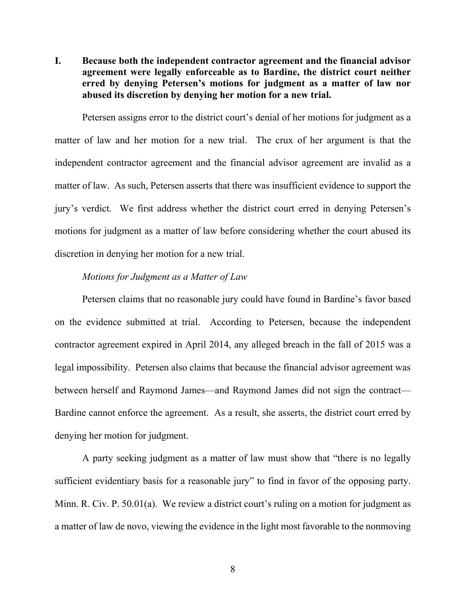**I. Because both the independent contractor agreement and the financial advisor agreement were legally enforceable as to Bardine, the district court neither erred by denying Petersen's motions for judgment as a matter of law nor abused its discretion by denying her motion for a new trial.** 

 Petersen assigns error to the district court's denial of her motions for judgment as a matter of law and her motion for a new trial. The crux of her argument is that the independent contractor agreement and the financial advisor agreement are invalid as a matter of law. As such, Petersen asserts that there was insufficient evidence to support the jury's verdict. We first address whether the district court erred in denying Petersen's motions for judgment as a matter of law before considering whether the court abused its discretion in denying her motion for a new trial.

#### *Motions for Judgment as a Matter of Law*

 Petersen claims that no reasonable jury could have found in Bardine's favor based on the evidence submitted at trial. According to Petersen, because the independent contractor agreement expired in April 2014, any alleged breach in the fall of 2015 was a legal impossibility. Petersen also claims that because the financial advisor agreement was between herself and Raymond James—and Raymond James did not sign the contract— Bardine cannot enforce the agreement. As a result, she asserts, the district court erred by denying her motion for judgment.

 A party seeking judgment as a matter of law must show that "there is no legally sufficient evidentiary basis for a reasonable jury" to find in favor of the opposing party. Minn. R. Civ. P. 50.01(a). We review a district court's ruling on a motion for judgment as a matter of law de novo, viewing the evidence in the light most favorable to the nonmoving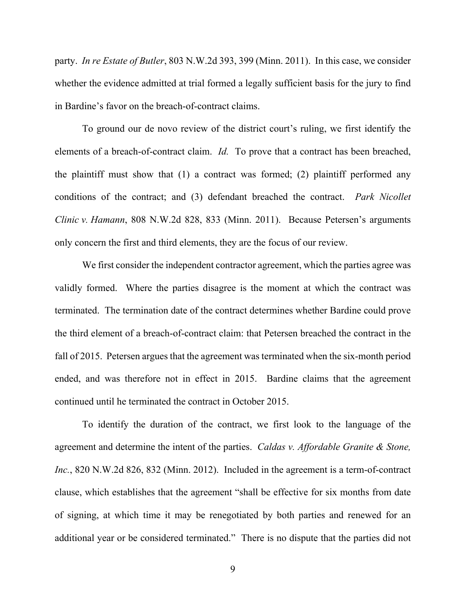party. *In re Estate of Butler*, 803 N.W.2d 393, 399 (Minn. 2011). In this case, we consider whether the evidence admitted at trial formed a legally sufficient basis for the jury to find in Bardine's favor on the breach-of-contract claims.

 To ground our de novo review of the district court's ruling, we first identify the elements of a breach-of-contract claim. *Id.* To prove that a contract has been breached, the plaintiff must show that (1) a contract was formed; (2) plaintiff performed any conditions of the contract; and (3) defendant breached the contract. *Park Nicollet Clinic v. Hamann*, 808 N.W.2d 828, 833 (Minn. 2011). Because Petersen's arguments only concern the first and third elements, they are the focus of our review.

 We first consider the independent contractor agreement, which the parties agree was validly formed. Where the parties disagree is the moment at which the contract was terminated. The termination date of the contract determines whether Bardine could prove the third element of a breach-of-contract claim: that Petersen breached the contract in the fall of 2015. Petersen argues that the agreement was terminated when the six-month period ended, and was therefore not in effect in 2015. Bardine claims that the agreement continued until he terminated the contract in October 2015.

 To identify the duration of the contract, we first look to the language of the agreement and determine the intent of the parties. *Caldas v. Affordable Granite & Stone, Inc.*, 820 N.W.2d 826, 832 (Minn. 2012). Included in the agreement is a term-of-contract clause, which establishes that the agreement "shall be effective for six months from date of signing, at which time it may be renegotiated by both parties and renewed for an additional year or be considered terminated." There is no dispute that the parties did not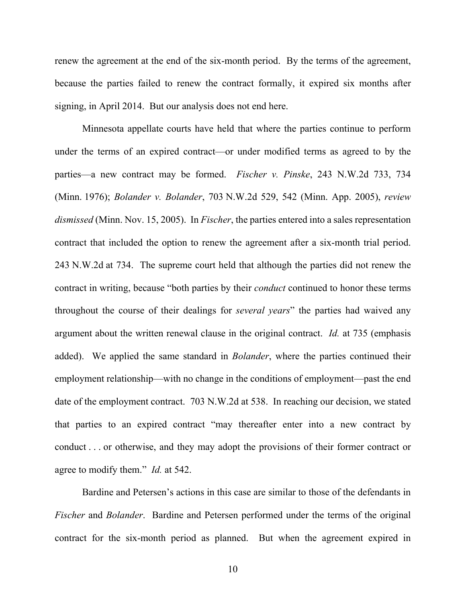renew the agreement at the end of the six-month period. By the terms of the agreement, because the parties failed to renew the contract formally, it expired six months after signing, in April 2014. But our analysis does not end here.

 Minnesota appellate courts have held that where the parties continue to perform under the terms of an expired contract—or under modified terms as agreed to by the parties—a new contract may be formed. *Fischer v. Pinske*, 243 N.W.2d 733, 734 (Minn. 1976); *Bolander v. Bolander*, 703 N.W.2d 529, 542 (Minn. App. 2005), *review dismissed* (Minn. Nov. 15, 2005). In *Fischer*, the parties entered into a sales representation contract that included the option to renew the agreement after a six-month trial period. 243 N.W.2d at 734. The supreme court held that although the parties did not renew the contract in writing, because "both parties by their *conduct* continued to honor these terms throughout the course of their dealings for *several years*" the parties had waived any argument about the written renewal clause in the original contract. *Id.* at 735 (emphasis added). We applied the same standard in *Bolander*, where the parties continued their employment relationship—with no change in the conditions of employment—past the end date of the employment contract. 703 N.W.2d at 538. In reaching our decision, we stated that parties to an expired contract "may thereafter enter into a new contract by conduct . . . or otherwise, and they may adopt the provisions of their former contract or agree to modify them." *Id.* at 542.

 Bardine and Petersen's actions in this case are similar to those of the defendants in *Fischer* and *Bolander*. Bardine and Petersen performed under the terms of the original contract for the six-month period as planned. But when the agreement expired in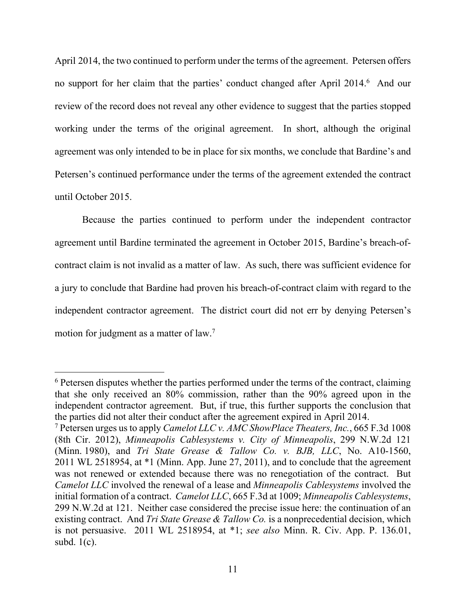April 2014, the two continued to perform under the terms of the agreement. Petersen offers no support for her claim that the parties' conduct changed after April 2014.<sup>6</sup> And our review of the record does not reveal any other evidence to suggest that the parties stopped working under the terms of the original agreement. In short, although the original agreement was only intended to be in place for six months, we conclude that Bardine's and Petersen's continued performance under the terms of the agreement extended the contract until October 2015.

 Because the parties continued to perform under the independent contractor agreement until Bardine terminated the agreement in October 2015, Bardine's breach-ofcontract claim is not invalid as a matter of law. As such, there was sufficient evidence for a jury to conclude that Bardine had proven his breach-of-contract claim with regard to the independent contractor agreement. The district court did not err by denying Petersen's motion for judgment as a matter of law.7

 $6$  Petersen disputes whether the parties performed under the terms of the contract, claiming that she only received an 80% commission, rather than the 90% agreed upon in the independent contractor agreement. But, if true, this further supports the conclusion that the parties did not alter their conduct after the agreement expired in April 2014.

<sup>7</sup> Petersen urges us to apply *Camelot LLC v. AMC ShowPlace Theaters, Inc.*, 665 F.3d 1008 (8th Cir. 2012), *Minneapolis Cablesystems v. City of Minneapolis*, 299 N.W.2d 121 (Minn. 1980), and *Tri State Grease & Tallow Co. v. BJB, LLC*, No. A10-1560, 2011 WL 2518954, at \*1 (Minn. App. June 27, 2011), and to conclude that the agreement was not renewed or extended because there was no renegotiation of the contract. But *Camelot LLC* involved the renewal of a lease and *Minneapolis Cablesystems* involved the initial formation of a contract. *Camelot LLC*, 665 F.3d at 1009; *Minneapolis Cablesystems*, 299 N.W.2d at 121. Neither case considered the precise issue here: the continuation of an existing contract. And *Tri State Grease & Tallow Co.* is a nonprecedential decision, which is not persuasive. 2011 WL 2518954, at \*1; *see also* Minn. R. Civ. App. P. 136.01, subd. 1(c).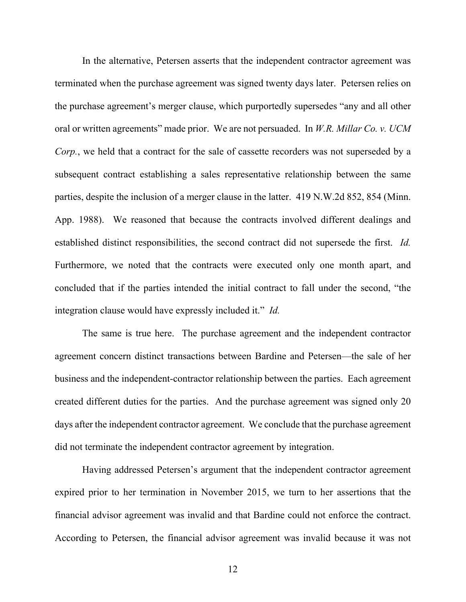In the alternative, Petersen asserts that the independent contractor agreement was terminated when the purchase agreement was signed twenty days later. Petersen relies on the purchase agreement's merger clause, which purportedly supersedes "any and all other oral or written agreements" made prior. We are not persuaded. In *W.R. Millar Co. v. UCM Corp.*, we held that a contract for the sale of cassette recorders was not superseded by a subsequent contract establishing a sales representative relationship between the same parties, despite the inclusion of a merger clause in the latter. 419 N.W.2d 852, 854 (Minn. App. 1988). We reasoned that because the contracts involved different dealings and established distinct responsibilities, the second contract did not supersede the first. *Id.* Furthermore, we noted that the contracts were executed only one month apart, and concluded that if the parties intended the initial contract to fall under the second, "the integration clause would have expressly included it." *Id.*

 The same is true here. The purchase agreement and the independent contractor agreement concern distinct transactions between Bardine and Petersen—the sale of her business and the independent-contractor relationship between the parties. Each agreement created different duties for the parties. And the purchase agreement was signed only 20 days after the independent contractor agreement. We conclude that the purchase agreement did not terminate the independent contractor agreement by integration.

 Having addressed Petersen's argument that the independent contractor agreement expired prior to her termination in November 2015, we turn to her assertions that the financial advisor agreement was invalid and that Bardine could not enforce the contract. According to Petersen, the financial advisor agreement was invalid because it was not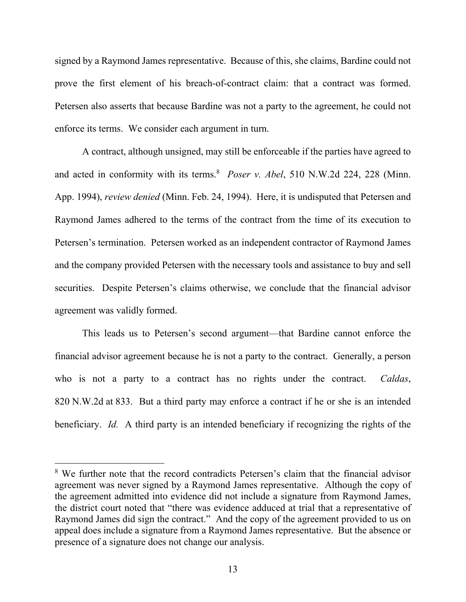signed by a Raymond James representative. Because of this, she claims, Bardine could not prove the first element of his breach-of-contract claim: that a contract was formed. Petersen also asserts that because Bardine was not a party to the agreement, he could not enforce its terms. We consider each argument in turn.

 A contract, although unsigned, may still be enforceable if the parties have agreed to and acted in conformity with its terms.<sup>8</sup> Poser v. Abel, 510 N.W.2d 224, 228 (Minn. App. 1994), *review denied* (Minn. Feb. 24, 1994). Here, it is undisputed that Petersen and Raymond James adhered to the terms of the contract from the time of its execution to Petersen's termination. Petersen worked as an independent contractor of Raymond James and the company provided Petersen with the necessary tools and assistance to buy and sell securities. Despite Petersen's claims otherwise, we conclude that the financial advisor agreement was validly formed.

 This leads us to Petersen's second argument—that Bardine cannot enforce the financial advisor agreement because he is not a party to the contract. Generally, a person who is not a party to a contract has no rights under the contract. *Caldas*, 820 N.W.2d at 833. But a third party may enforce a contract if he or she is an intended beneficiary. *Id.* A third party is an intended beneficiary if recognizing the rights of the

<sup>&</sup>lt;sup>8</sup> We further note that the record contradicts Petersen's claim that the financial advisor agreement was never signed by a Raymond James representative. Although the copy of the agreement admitted into evidence did not include a signature from Raymond James, the district court noted that "there was evidence adduced at trial that a representative of Raymond James did sign the contract." And the copy of the agreement provided to us on appeal does include a signature from a Raymond James representative. But the absence or presence of a signature does not change our analysis.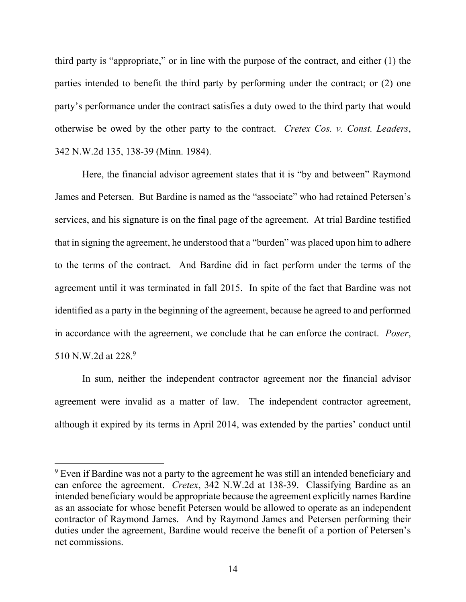third party is "appropriate," or in line with the purpose of the contract, and either (1) the parties intended to benefit the third party by performing under the contract; or (2) one party's performance under the contract satisfies a duty owed to the third party that would otherwise be owed by the other party to the contract. *Cretex Cos. v. Const. Leaders*, 342 N.W.2d 135, 138-39 (Minn. 1984).

 Here, the financial advisor agreement states that it is "by and between" Raymond James and Petersen. But Bardine is named as the "associate" who had retained Petersen's services, and his signature is on the final page of the agreement. At trial Bardine testified that in signing the agreement, he understood that a "burden" was placed upon him to adhere to the terms of the contract. And Bardine did in fact perform under the terms of the agreement until it was terminated in fall 2015. In spite of the fact that Bardine was not identified as a party in the beginning of the agreement, because he agreed to and performed in accordance with the agreement, we conclude that he can enforce the contract. *Poser*, 510 N.W.2d at 228.9

 In sum, neither the independent contractor agreement nor the financial advisor agreement were invalid as a matter of law. The independent contractor agreement, although it expired by its terms in April 2014, was extended by the parties' conduct until

 $9$  Even if Bardine was not a party to the agreement he was still an intended beneficiary and can enforce the agreement. *Cretex*, 342 N.W.2d at 138-39. Classifying Bardine as an intended beneficiary would be appropriate because the agreement explicitly names Bardine as an associate for whose benefit Petersen would be allowed to operate as an independent contractor of Raymond James. And by Raymond James and Petersen performing their duties under the agreement, Bardine would receive the benefit of a portion of Petersen's net commissions.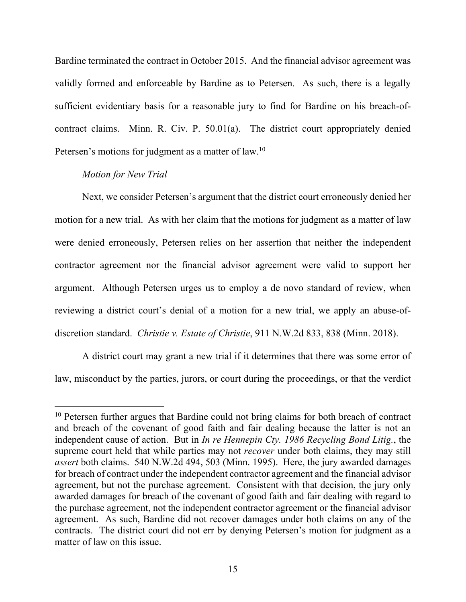Bardine terminated the contract in October 2015. And the financial advisor agreement was validly formed and enforceable by Bardine as to Petersen. As such, there is a legally sufficient evidentiary basis for a reasonable jury to find for Bardine on his breach-ofcontract claims. Minn. R. Civ. P. 50.01(a). The district court appropriately denied Petersen's motions for judgment as a matter of law.<sup>10</sup>

## *Motion for New Trial*

 $\overline{a}$ 

 Next, we consider Petersen's argument that the district court erroneously denied her motion for a new trial. As with her claim that the motions for judgment as a matter of law were denied erroneously, Petersen relies on her assertion that neither the independent contractor agreement nor the financial advisor agreement were valid to support her argument. Although Petersen urges us to employ a de novo standard of review, when reviewing a district court's denial of a motion for a new trial, we apply an abuse-ofdiscretion standard. *Christie v. Estate of Christie*, 911 N.W.2d 833, 838 (Minn. 2018).

 A district court may grant a new trial if it determines that there was some error of law, misconduct by the parties, jurors, or court during the proceedings, or that the verdict

<sup>&</sup>lt;sup>10</sup> Petersen further argues that Bardine could not bring claims for both breach of contract and breach of the covenant of good faith and fair dealing because the latter is not an independent cause of action. But in *In re Hennepin Cty. 1986 Recycling Bond Litig.*, the supreme court held that while parties may not *recover* under both claims, they may still *assert* both claims. 540 N.W.2d 494, 503 (Minn. 1995). Here, the jury awarded damages for breach of contract under the independent contractor agreement and the financial advisor agreement, but not the purchase agreement. Consistent with that decision, the jury only awarded damages for breach of the covenant of good faith and fair dealing with regard to the purchase agreement, not the independent contractor agreement or the financial advisor agreement. As such, Bardine did not recover damages under both claims on any of the contracts. The district court did not err by denying Petersen's motion for judgment as a matter of law on this issue.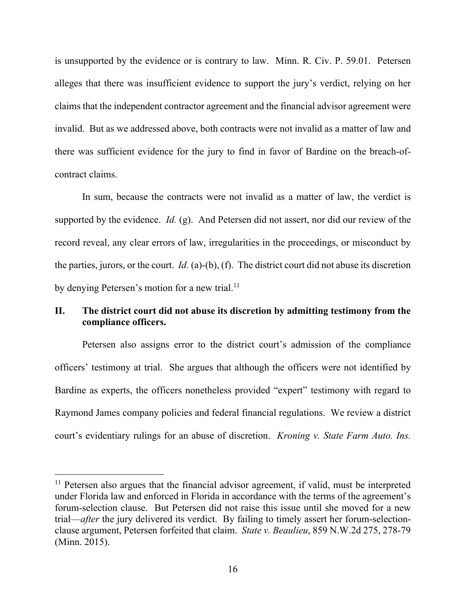is unsupported by the evidence or is contrary to law. Minn. R. Civ. P. 59.01. Petersen alleges that there was insufficient evidence to support the jury's verdict, relying on her claims that the independent contractor agreement and the financial advisor agreement were invalid. But as we addressed above, both contracts were not invalid as a matter of law and there was sufficient evidence for the jury to find in favor of Bardine on the breach-ofcontract claims.

 In sum, because the contracts were not invalid as a matter of law, the verdict is supported by the evidence. *Id.* (g). And Petersen did not assert, nor did our review of the record reveal, any clear errors of law, irregularities in the proceedings, or misconduct by the parties, jurors, or the court. *Id.* (a)-(b), (f). The district court did not abuse its discretion by denying Petersen's motion for a new trial.<sup>11</sup>

# **II. The district court did not abuse its discretion by admitting testimony from the compliance officers.**

 Petersen also assigns error to the district court's admission of the compliance officers' testimony at trial. She argues that although the officers were not identified by Bardine as experts, the officers nonetheless provided "expert" testimony with regard to Raymond James company policies and federal financial regulations. We review a district court's evidentiary rulings for an abuse of discretion. *Kroning v. State Farm Auto. Ins.* 

<sup>&</sup>lt;sup>11</sup> Petersen also argues that the financial advisor agreement, if valid, must be interpreted under Florida law and enforced in Florida in accordance with the terms of the agreement's forum-selection clause. But Petersen did not raise this issue until she moved for a new trial—*after* the jury delivered its verdict. By failing to timely assert her forum-selectionclause argument, Petersen forfeited that claim. *State v. Beaulieu*, 859 N.W.2d 275, 278-79 (Minn. 2015).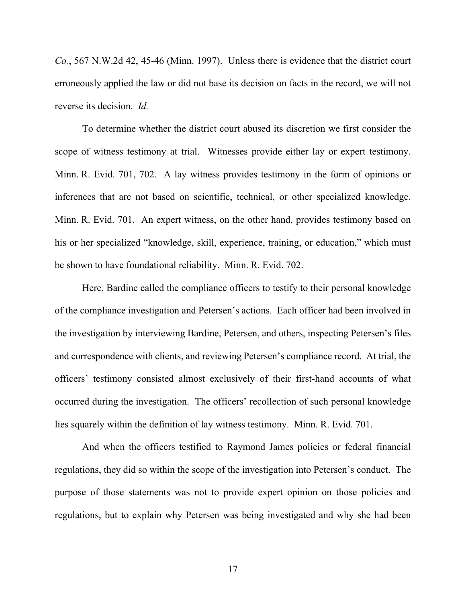*Co.*, 567 N.W.2d 42, 45-46 (Minn. 1997). Unless there is evidence that the district court erroneously applied the law or did not base its decision on facts in the record, we will not reverse its decision. *Id.*

 To determine whether the district court abused its discretion we first consider the scope of witness testimony at trial. Witnesses provide either lay or expert testimony. Minn. R. Evid. 701, 702. A lay witness provides testimony in the form of opinions or inferences that are not based on scientific, technical, or other specialized knowledge. Minn. R. Evid. 701. An expert witness, on the other hand, provides testimony based on his or her specialized "knowledge, skill, experience, training, or education," which must be shown to have foundational reliability. Minn. R. Evid. 702.

 Here, Bardine called the compliance officers to testify to their personal knowledge of the compliance investigation and Petersen's actions. Each officer had been involved in the investigation by interviewing Bardine, Petersen, and others, inspecting Petersen's files and correspondence with clients, and reviewing Petersen's compliance record. At trial, the officers' testimony consisted almost exclusively of their first-hand accounts of what occurred during the investigation. The officers' recollection of such personal knowledge lies squarely within the definition of lay witness testimony. Minn. R. Evid. 701.

 And when the officers testified to Raymond James policies or federal financial regulations, they did so within the scope of the investigation into Petersen's conduct. The purpose of those statements was not to provide expert opinion on those policies and regulations, but to explain why Petersen was being investigated and why she had been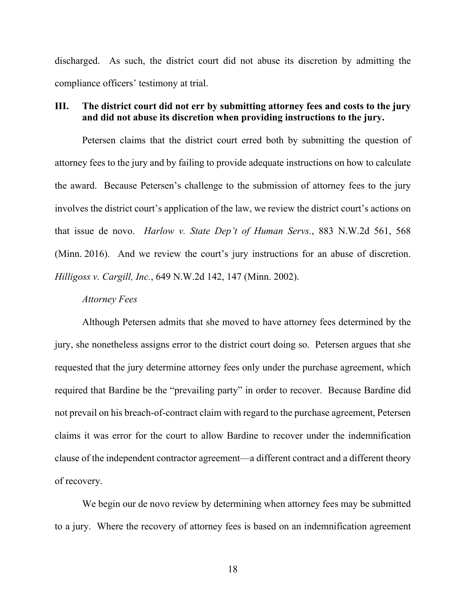discharged. As such, the district court did not abuse its discretion by admitting the compliance officers' testimony at trial.

# **III. The district court did not err by submitting attorney fees and costs to the jury and did not abuse its discretion when providing instructions to the jury.**

 Petersen claims that the district court erred both by submitting the question of attorney fees to the jury and by failing to provide adequate instructions on how to calculate the award. Because Petersen's challenge to the submission of attorney fees to the jury involves the district court's application of the law, we review the district court's actions on that issue de novo. *Harlow v. State Dep't of Human Servs.*, 883 N.W.2d 561, 568 (Minn. 2016). And we review the court's jury instructions for an abuse of discretion. *Hilligoss v. Cargill, Inc.*, 649 N.W.2d 142, 147 (Minn. 2002).

#### *Attorney Fees*

 Although Petersen admits that she moved to have attorney fees determined by the jury, she nonetheless assigns error to the district court doing so. Petersen argues that she requested that the jury determine attorney fees only under the purchase agreement, which required that Bardine be the "prevailing party" in order to recover. Because Bardine did not prevail on his breach-of-contract claim with regard to the purchase agreement, Petersen claims it was error for the court to allow Bardine to recover under the indemnification clause of the independent contractor agreement—a different contract and a different theory of recovery.

 We begin our de novo review by determining when attorney fees may be submitted to a jury. Where the recovery of attorney fees is based on an indemnification agreement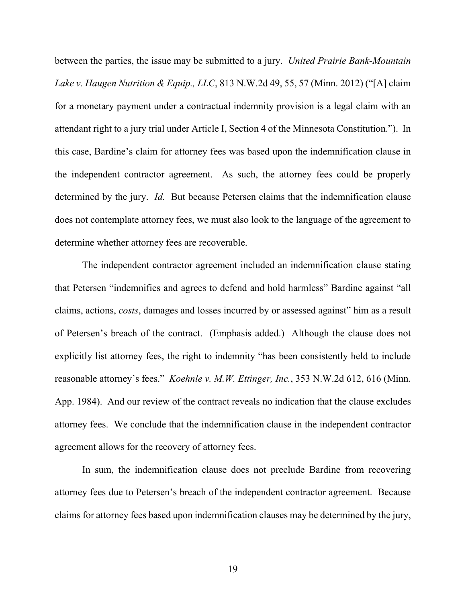between the parties, the issue may be submitted to a jury. *United Prairie Bank-Mountain Lake v. Haugen Nutrition & Equip., LLC*, 813 N.W.2d 49, 55, 57 (Minn. 2012) ("[A] claim for a monetary payment under a contractual indemnity provision is a legal claim with an attendant right to a jury trial under Article I, Section 4 of the Minnesota Constitution."). In this case, Bardine's claim for attorney fees was based upon the indemnification clause in the independent contractor agreement. As such, the attorney fees could be properly determined by the jury. *Id.* But because Petersen claims that the indemnification clause does not contemplate attorney fees, we must also look to the language of the agreement to determine whether attorney fees are recoverable.

 The independent contractor agreement included an indemnification clause stating that Petersen "indemnifies and agrees to defend and hold harmless" Bardine against "all claims, actions, *costs*, damages and losses incurred by or assessed against" him as a result of Petersen's breach of the contract. (Emphasis added.) Although the clause does not explicitly list attorney fees, the right to indemnity "has been consistently held to include reasonable attorney's fees." *Koehnle v. M.W. Ettinger, Inc.*, 353 N.W.2d 612, 616 (Minn. App. 1984). And our review of the contract reveals no indication that the clause excludes attorney fees. We conclude that the indemnification clause in the independent contractor agreement allows for the recovery of attorney fees.

 In sum, the indemnification clause does not preclude Bardine from recovering attorney fees due to Petersen's breach of the independent contractor agreement. Because claims for attorney fees based upon indemnification clauses may be determined by the jury,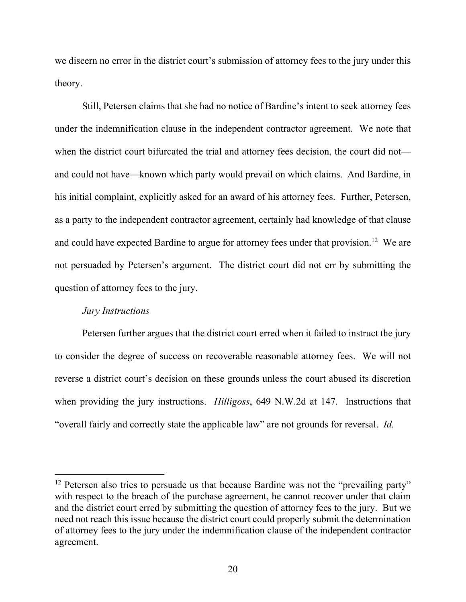we discern no error in the district court's submission of attorney fees to the jury under this theory.

 Still, Petersen claims that she had no notice of Bardine's intent to seek attorney fees under the indemnification clause in the independent contractor agreement. We note that when the district court bifurcated the trial and attorney fees decision, the court did not and could not have—known which party would prevail on which claims. And Bardine, in his initial complaint, explicitly asked for an award of his attorney fees. Further, Petersen, as a party to the independent contractor agreement, certainly had knowledge of that clause and could have expected Bardine to argue for attorney fees under that provision.<sup>12</sup> We are not persuaded by Petersen's argument. The district court did not err by submitting the question of attorney fees to the jury.

# *Jury Instructions*

 $\overline{a}$ 

Petersen further argues that the district court erred when it failed to instruct the jury to consider the degree of success on recoverable reasonable attorney fees. We will not reverse a district court's decision on these grounds unless the court abused its discretion when providing the jury instructions. *Hilligoss*, 649 N.W.2d at 147. Instructions that "overall fairly and correctly state the applicable law" are not grounds for reversal. *Id.*

 $12$  Petersen also tries to persuade us that because Bardine was not the "prevailing party" with respect to the breach of the purchase agreement, he cannot recover under that claim and the district court erred by submitting the question of attorney fees to the jury. But we need not reach this issue because the district court could properly submit the determination of attorney fees to the jury under the indemnification clause of the independent contractor agreement.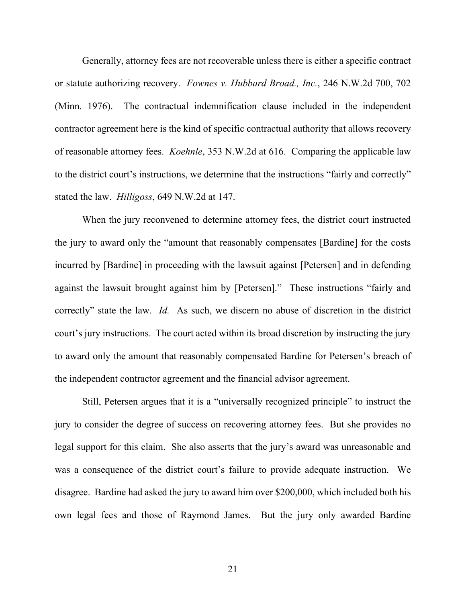Generally, attorney fees are not recoverable unless there is either a specific contract or statute authorizing recovery. *Fownes v. Hubbard Broad., Inc.*, 246 N.W.2d 700, 702 (Minn. 1976). The contractual indemnification clause included in the independent contractor agreement here is the kind of specific contractual authority that allows recovery of reasonable attorney fees. *Koehnle*, 353 N.W.2d at 616. Comparing the applicable law to the district court's instructions, we determine that the instructions "fairly and correctly" stated the law. *Hilligoss*, 649 N.W.2d at 147.

 When the jury reconvened to determine attorney fees, the district court instructed the jury to award only the "amount that reasonably compensates [Bardine] for the costs incurred by [Bardine] in proceeding with the lawsuit against [Petersen] and in defending against the lawsuit brought against him by [Petersen]." These instructions "fairly and correctly" state the law. *Id.* As such, we discern no abuse of discretion in the district court's jury instructions. The court acted within its broad discretion by instructing the jury to award only the amount that reasonably compensated Bardine for Petersen's breach of the independent contractor agreement and the financial advisor agreement.

 Still, Petersen argues that it is a "universally recognized principle" to instruct the jury to consider the degree of success on recovering attorney fees. But she provides no legal support for this claim. She also asserts that the jury's award was unreasonable and was a consequence of the district court's failure to provide adequate instruction. We disagree. Bardine had asked the jury to award him over \$200,000, which included both his own legal fees and those of Raymond James. But the jury only awarded Bardine